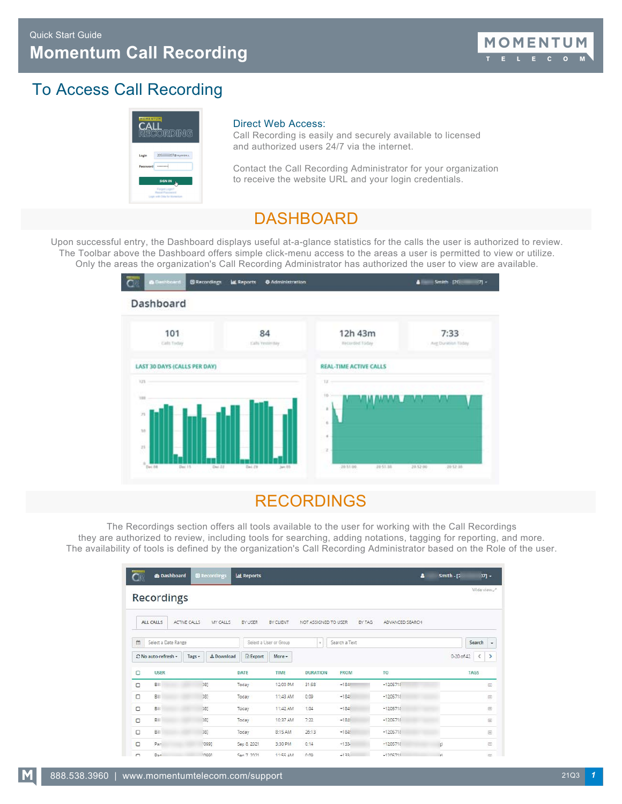

# To Access Call Recording



#### Direct Web Access:

Call Recording is easily and securely available to licensed and authorized users 24/7 via the internet.

Contact the Call Recording Administrator for your organization to receive the website URL and your login credentials.

# **DASHBOARD**

Upon successful entry, the Dashboard displays useful at-a-glance statistics for the calls the user is authorized to review. The Toolbar above the Dashboard offers simple click-menu access to the areas a user is permitted to view or utilize. Only the areas the organization's Call Recording Administrator has authorized the user to view are available.



# RECORDINGS

The Recordings section offers all tools available to the user for working with the Call Recordings they are authorized to review, including tools for searching, adding notations, tagging for reporting, and more. The availability of tools is defined by the organization's Call Recording Administrator based on the Role of the user.

|        | <b><i>B</i></b> Dashboard | <b>E Recordings</b>             | <b>Let</b> Reports |                        |                      |               |                 | $\bullet$<br>$Smith - [2]$ | $17 -$                             |
|--------|---------------------------|---------------------------------|--------------------|------------------------|----------------------|---------------|-----------------|----------------------------|------------------------------------|
|        | <b>Recordings</b>         |                                 |                    |                        |                      |               |                 |                            | Wide view                          |
|        | <b>ALL CALLS</b>          | <b>ACTIVE CALLS</b><br>MY CALLS | BY USER            | BY CLIENT              | NOT ASSIGNED TO USER | BY TAG        | ADVANCED SEARCH |                            |                                    |
| 曲      | Select a Date Range       |                                 |                    | Select a User or Group | $\pi$                | Search a Text |                 |                            | Search<br>$\overline{\phantom{a}}$ |
|        | C No auto-refresh -       | <b>±</b> Download<br>Tags +     | <b>R</b> Export    | More -                 |                      |               |                 | 0-20 of 42                 | $\leq$<br>$\rightarrow$            |
| $\Box$ | <b>USER</b>               |                                 | DATE               | TIME                   | <b>DURATION</b>      | <b>FROM</b>   | T <sub>0</sub>  |                            | TAGS                               |
| $\Box$ | Bill                      | 081                             | Today              | 12:00 PM               | 31:58                | $+184!$       | $-1205718$      |                            | $\qquad \qquad \oplus$             |
| $\Box$ | Bill                      | 08]                             | Today              | 11:43 AM               | 0:09                 | $+184$        | $-1205718$      |                            | ⊞                                  |
| $\Box$ | Bill                      | 081                             | Today              | 11:42 AM               | 1:04                 | $+1845$       | $-1205718$      |                            | ⊞                                  |
| $\Box$ | Bill                      | 081                             | Today              | 10:37 AM               | 7:22                 | $+1845$       | $-1205718$      |                            | 田                                  |
| $\Box$ | Bill                      | 081                             | Today              | 8:15 AM                | 26:13                | $+184!$       | $-1205718$      |                            | $\qquad \qquad \boxplus$           |
| $\Box$ | Par                       | '0991                           | Sep 8, 2021        | 3:30 PM                | 0:14                 | $+133.$       | $-1205718$      | ţ)                         | $\oplus$                           |
| C.     | Dan                       | room                            | San 7, 2021        | $11 - 55$ $\Delta$ 3.8 | n-no                 | $-122$        | $-1205718$      | H.                         | $\overline{1}$                     |